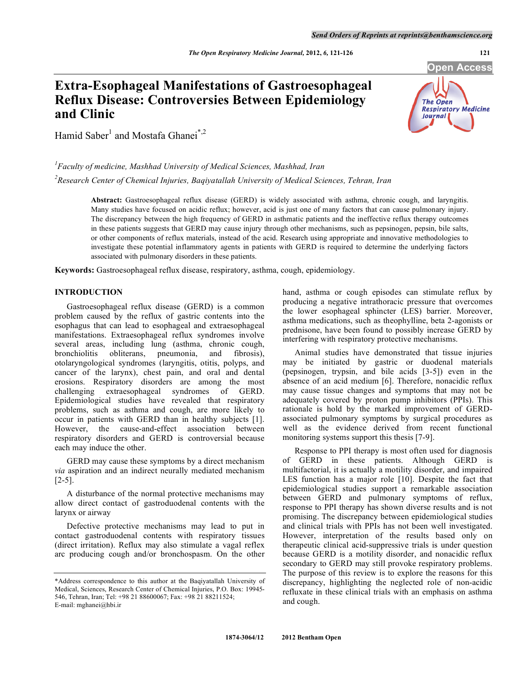# **Extra-Esophageal Manifestations of Gastroesophageal Reflux Disease: Controversies Between Epidemiology and Clinic**



Hamid Saber<sup>1</sup> and Mostafa Ghanei<sup>\*,2</sup>

<sup>1</sup> Faculty of medicine, Mashhad University of Medical Sciences, Mashhad, Iran *2 Research Center of Chemical Injuries, Baqiyatallah University of Medical Sciences, Tehran, Iran* 

> **Abstract:** Gastroesophageal reflux disease (GERD) is widely associated with asthma, chronic cough, and laryngitis. Many studies have focused on acidic reflux; however, acid is just one of many factors that can cause pulmonary injury. The discrepancy between the high frequency of GERD in asthmatic patients and the ineffective reflux therapy outcomes in these patients suggests that GERD may cause injury through other mechanisms, such as pepsinogen, pepsin, bile salts, or other components of reflux materials, instead of the acid. Research using appropriate and innovative methodologies to investigate these potential inflammatory agents in patients with GERD is required to determine the underlying factors associated with pulmonary disorders in these patients.

**Keywords:** Gastroesophageal reflux disease, respiratory, asthma, cough, epidemiology.

## **INTRODUCTION**

 Gastroesophageal reflux disease (GERD) is a common problem caused by the reflux of gastric contents into the esophagus that can lead to esophageal and extraesophageal manifestations. Extraesophageal reflux syndromes involve several areas, including lung (asthma, chronic cough, bronchiolitis obliterans, pneumonia, and fibrosis), otolaryngological syndromes (laryngitis, otitis, polyps, and cancer of the larynx), chest pain, and oral and dental erosions. Respiratory disorders are among the most challenging extraesophageal syndromes of GERD. Epidemiological studies have revealed that respiratory problems, such as asthma and cough, are more likely to occur in patients with GERD than in healthy subjects [1]. However, the cause-and-effect association between respiratory disorders and GERD is controversial because each may induce the other.

 GERD may cause these symptoms by a direct mechanism *via* aspiration and an indirect neurally mediated mechanism [2-5].

 A disturbance of the normal protective mechanisms may allow direct contact of gastroduodenal contents with the larynx or airway

 Defective protective mechanisms may lead to put in contact gastroduodenal contents with respiratory tissues (direct irritation). Reflux may also stimulate a vagal reflex arc producing cough and/or bronchospasm. On the other hand, asthma or cough episodes can stimulate reflux by producing a negative intrathoracic pressure that overcomes the lower esophageal sphincter (LES) barrier. Moreover, asthma medications, such as theophylline, beta 2-agonists or prednisone, have been found to possibly increase GERD by interfering with respiratory protective mechanisms.

 Animal studies have demonstrated that tissue injuries may be initiated by gastric or duodenal materials (pepsinogen, trypsin, and bile acids [3-5]) even in the absence of an acid medium [6]. Therefore, nonacidic reflux may cause tissue changes and symptoms that may not be adequately covered by proton pump inhibitors (PPIs). This rationale is hold by the marked improvement of GERDassociated pulmonary symptoms by surgical procedures as well as the evidence derived from recent functional monitoring systems support this thesis [7-9].

 Response to PPI therapy is most often used for diagnosis of GERD in these patients. Although GERD is multifactorial, it is actually a motility disorder, and impaired LES function has a major role [10]. Despite the fact that epidemiological studies support a remarkable association between GERD and pulmonary symptoms of reflux, response to PPI therapy has shown diverse results and is not promising. The discrepancy between epidemiological studies and clinical trials with PPIs has not been well investigated. However, interpretation of the results based only on therapeutic clinical acid-suppressive trials is under question because GERD is a motility disorder, and nonacidic reflux secondary to GERD may still provoke respiratory problems. The purpose of this review is to explore the reasons for this discrepancy, highlighting the neglected role of non-acidic refluxate in these clinical trials with an emphasis on asthma and cough.

<sup>\*</sup>Address correspondence to this author at the Baqiyatallah University of Medical, Sciences, Research Center of Chemical Injuries, P.O. Box: 19945- 546, Tehran, Iran; Tel: +98 21 88600067; Fax: +98 21 88211524; E-mail: mghanei@hbi.ir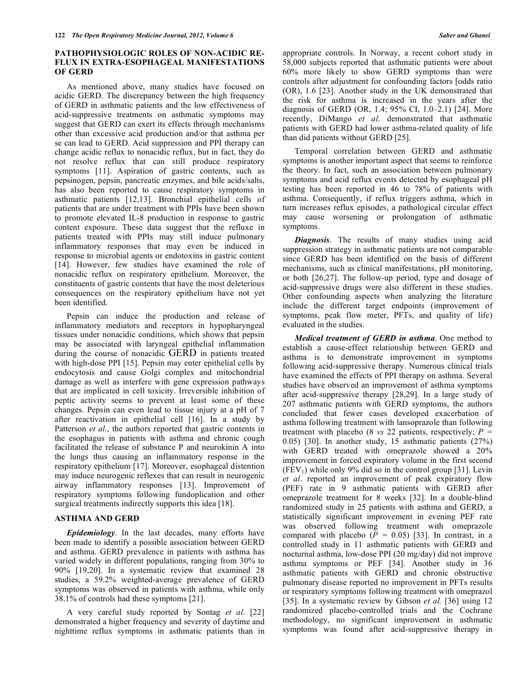#### **PATHOPHYSIOLOGIC ROLES OF NON-ACIDIC RE-FLUX IN EXTRA-ESOPHAGEAL MANIFESTATIONS OF GERD**

 As mentioned above, many studies have focused on acidic GERD. The discrepancy between the high frequency of GERD in asthmatic patients and the low effectiveness of acid-suppressive treatments on asthmatic symptoms may suggest that GERD can exert its effects through mechanisms other than excessive acid production and/or that asthma per se can lead to GERD. Acid suppression and PPI therapy can change acidic reflux to nonacidic reflux, but in fact, they do not resolve reflux that can still produce respiratory symptoms [11]. Aspiration of gastric contents, such as pepsinogen, pepsin, pancreatic enzymes, and bile acids/salts, has also been reported to cause respiratory symptoms in asthmatic patients [12,13]. Bronchial epithelial cells of patients that are under treatment with PPIs have been shown to promote elevated IL-8 production in response to gastric content exposure. These data suggest that the refluxe in patients treated with PPIs may still induce pulmonary inflammatory responses that may even be induced in response to microbial agents or endotoxins in gastric content [14]. However, few studies have examined the role of nonacidic reflux on respiratory epithelium. Moreover, the constituents of gastric contents that have the most deleterious consequences on the respiratory epithelium have not yet been identified.

 Pepsin can induce the production and release of inflammatory mediators and receptors in hypopharyngeal tissues under nonacidic conditions, which shows that pepsin may be associated with laryngeal epithelial inflammation during the course of nonacidic GERD in patients treated with high-dose PPI [15]. Pepsin may enter epithelial cells by endocytosis and cause Golgi complex and mitochondrial damage as well as interfere with gene expression pathways that are implicated in cell toxicity. Irreversible inhibition of peptic activity seems to prevent at least some of these changes. Pepsin can even lead to tissue injury at a pH of 7 after reactivation in epithelial cell [16]. In a study by Patterson *et al*., the authors reported that gastric contents in the esophagus in patients with asthma and chronic cough facilitated the release of substance P and neurokinin A into the lungs thus causing an inflammatory response in the respiratory epithelium [17]. Moreover, esophageal distention may induce neurogenic reflexes that can result in neurogenic airway inflammatory responses [13]. Improvement of respiratory symptoms following fundoplication and other surgical treatments indirectly supports this idea [18].

#### **ASTHMA AND GERD**

 *Epidemiology*. In the last decades, many efforts have been made to identify a possible association between GERD and asthma. GERD prevalence in patients with asthma has varied widely in different populations, ranging from 30% to 90% [19,20]. In a systematic review that examined 28 studies, a 59.2% weighted-average prevalence of GERD symptoms was observed in patients with asthma, while only 38.1% of controls had these symptoms [21].

 A very careful study reported by Sontag *et al.* [22] demonstrated a higher frequency and severity of daytime and nighttime reflux symptoms in asthmatic patients than in appropriate controls. In Norway, a recent cohort study in 58,000 subjects reported that asthmatic patients were about 60% more likely to show GERD symptoms than were controls after adjustment for confounding factors [odds ratio (OR), 1.6 [23]. Another study in the UK demonstrated that the risk for asthma is increased in the years after the diagnosis of GERD (OR, 1.4; 95% CI, 1.0–2.1) [24]. More recently, DiMango *et al*. demonstrated that asthmatic patients with GERD had lower asthma-related quality of life than did patients without GERD [25].

 Temporal correlation between GERD and asthmatic symptoms is another important aspect that seems to reinforce the theory. In fact, such an association between pulmonary symptoms and acid reflux events detected by esophageal pH testing has been reported in 46 to 78% of patients with asthma. Consequently, if reflux triggers asthma, which in turn increases reflux episodes, a pathological circular effect may cause worsening or prolongation of asthmatic symptoms.

*Diagnosis*. The results of many studies using acid suppression strategy in asthmatic patients are not comparable since GERD has been identified on the basis of different mechanisms, such as clinical manifestations, pH monitoring, or both [26,27]. The follow-up period, type and dosage of acid-suppressive drugs were also different in these studies. Other confounding aspects when analyzing the literature include the different target endpoints (improvement of symptoms, peak flow meter, PFTs, and quality of life) evaluated in the studies.

 *Medical treatment of GERD in asthma*. One method to establish a cause-effect relationship between GERD and asthma is to demonstrate improvement in symptoms following acid-suppressive therapy. Numerous clinical trials have examined the effects of PPI therapy on asthma. Several studies have observed an improvement of asthma symptoms after acid-suppressive therapy [28,29]. In a large study of 207 asthmatic patients with GERD symptoms, the authors concluded that fewer cases developed exacerbation of asthma following treatment with lansoprazole than following treatment with placebo (8 *vs* 22 patients, respectively; *P =*  0.05) [30]. In another study, 15 asthmatic patients (27%) with GERD treated with omeprazole showed a 20% improvement in forced expiratory volume in the first second  $(FEV<sub>1</sub>)$  while only 9% did so in the control group [31]. Levin *et al*. reported an improvement of peak expiratory flow (PEF) rate in 9 asthmatic patients with GERD after omeprazole treatment for 8 weeks [32]. In a double-blind randomized study in 25 patients with asthma and GERD, a statistically significant improvement in evening PEF rate was observed following treatment with omeprazole compared with placebo  $(P = 0.05)$  [33]. In contrast, in a controlled study in 11 asthmatic patients with GERD and nocturnal asthma, low-dose PPI (20 mg/day) did not improve asthma symptoms or PEF [34]. Another study in 36 asthmatic patients with GERD and chronic obstructive pulmonary disease reported no improvement in PFTs results or respiratory symptoms following treatment with omeprazol [35]. In a systematic review by Gibson *et al.* [36] using 12 randomized placebo-controlled trials and the Cochrane methodology, no significant improvement in asthmatic symptoms was found after acid-suppressive therapy in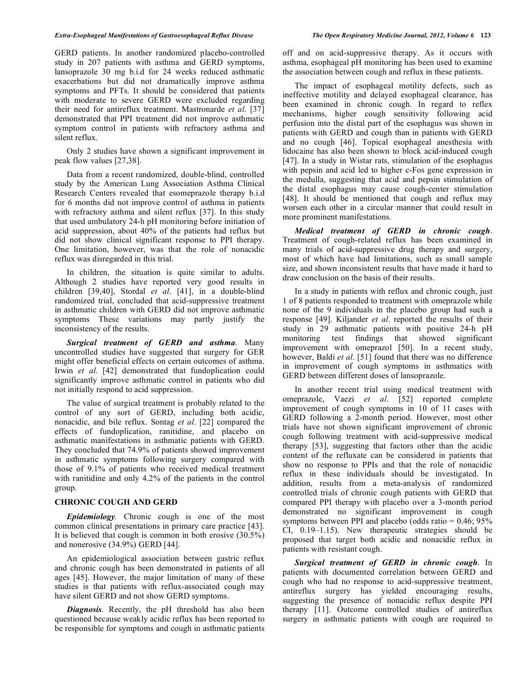GERD patients. In another randomized placebo-controlled study in 207 patients with asthma and GERD symptoms, lansoprazole 30 mg b.i.d for 24 weeks reduced asthmatic exacerbations but did not dramatically improve asthma symptoms and PFTs. It should be considered that patients with moderate to severe GERD were excluded regarding their need for antireflux treatment. Mastronarde *et al*. [37] demonstrated that PPI treatment did not improve asthmatic

 Only 2 studies have shown a significant improvement in peak flow values [27,38].

symptom control in patients with refractory asthma and

silent reflux.

 Data from a recent randomized, double-blind, controlled study by the American Lung Association Asthma Clinical Research Centers revealed that esomeprazole therapy b.i.d for 6 months did not improve control of asthma in patients with refractory asthma and silent reflux [37]. In this study that used ambulatory 24-h pH monitoring before initiation of acid suppression, about 40% of the patients had reflux but did not show clinical significant response to PPI therapy. One limitation, however, was that the role of nonacidic reflux was disregarded in this trial.

 In children, the situation is quite similar to adults. Although 2 studies have reported very good results in children [39,40], Stordal *et al*. [41], in a double-blind randomized trial, concluded that acid-suppressive treatment in asthmatic children with GERD did not improve asthmatic symptoms These variations may partly justify the inconsistency of the results.

 *Surgical treatment of GERD and asthma*. Many uncontrolled studies have suggested that surgery for GER might offer beneficial effects on certain outcomes of asthma. Irwin *et al*. [42] demonstrated that fundoplication could significantly improve asthmatic control in patients who did not initially respond to acid suppression.

 The value of surgical treatment is probably related to the control of any sort of GERD, including both acidic, nonacidic, and bile reflux. Sontag *et al*. [22] compared the effects of fundoplication, ranitidine, and placebo on asthmatic manifestations in asthmatic patients with GERD. They concluded that 74.9% of patients showed improvement in asthmatic symptoms following surgery compared with those of 9.1% of patients who received medical treatment with ranitidine and only 4.2% of the patients in the control group.

# **CHRONIC COUGH AND GERD**

 *Epidemiology.* Chronic cough is one of the most common clinical presentations in primary care practice [43]. It is believed that cough is common in both erosive (30.5%) and nonerosive (34.9%) GERD [44].

 An epidemiological association between gastric reflux and chronic cough has been demonstrated in patients of all ages [45]. However, the major limitation of many of these studies is that patients with reflux-associated cough may have silent GERD and not show GERD symptoms.

 *Diagnosis.* Recently, the pH threshold has also been questioned because weakly acidic reflux has been reported to be responsible for symptoms and cough in asthmatic patients

off and on acid-suppressive therapy. As it occurs with asthma, esophageal pH monitoring has been used to examine the association between cough and reflux in these patients.

 The impact of esophageal motility defects, such as ineffective motility and delayed esophageal clearance, has been examined in chronic cough. In regard to reflex mechanisms, higher cough sensitivity following acid perfusion into the distal part of the esophagus was shown in patients with GERD and cough than in patients with GERD and no cough [46]. Topical esophageal anesthesia with lidocaine has also been shown to block acid-induced cough [47]. In a study in Wistar rats, stimulation of the esophagus with pepsin and acid led to higher c-Fos gene expression in the medulla, suggesting that acid and pepsin stimulation of the distal esophagus may cause cough-center stimulation [48]. It should be mentioned that cough and reflux may worsen each other in a circular manner that could result in more prominent manifestations.

 *Medical treatment of GERD in chronic cough*. Treatment of cough-related reflux has been examined in many trials of acid-suppressive drug therapy and surgery, most of which have had limitations, such as small sample size, and shown inconsistent results that have made it hard to draw conclusion on the basis of their results.

 In a study in patients with reflux and chronic cough, just 1 of 8 patients responded to treatment with omeprazole while none of the 9 individuals in the placebo group had such a response [49]. Kiljander *et al*. reported the results of their study in 29 asthmatic patients with positive 24-h pH monitoring test findings that showed significant improvement with omeprazol [50]. In a recent study, however, Baldi *et al*. [51] found that there was no difference in improvement of cough symptoms in asthmatics with GERD between different doses of lansoprazole.

 In another recent trial using medical treatment with omeprazole, Vaezi *et al*. [52] reported complete improvement of cough symptoms in 10 of 11 cases with GERD following a 2-month period. However, most other trials have not shown significant improvement of chronic cough following treatment with acid-suppressive medical therapy [53], suggesting that factors other than the acidic content of the refluxate can be considered in patients that show no response to PPIs and that the role of nonacidic reflux in these individuals should be investigated. In addition, results from a meta-analysis of randomized controlled trials of chronic cough patients with GERD that compared PPI therapy with placebo over a 3-month period demonstrated no significant improvement in cough symptoms between PPI and placebo (odds ratio =  $0.46$ ;  $95\%$ ) CI, 0.19–1.15). New therapeutic strategies should be proposed that target both acidic and nonacidic reflux in patients with resistant cough.

 *Surgical treatment of GERD in chronic cough*. In patients with documented correlation between GERD and cough who had no response to acid-suppressive treatment, antireflux surgery has yielded encouraging results, suggesting the presence of nonacidic reflux despite PPI therapy [11]. Outcome controlled studies of antireflux surgery in asthmatic patients with cough are required to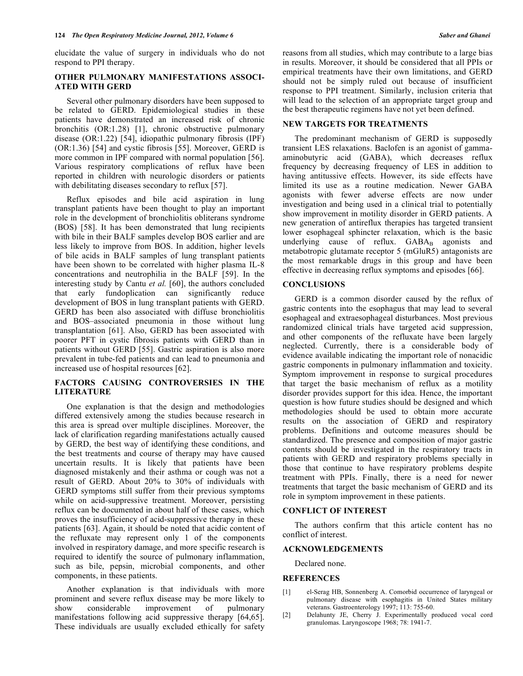elucidate the value of surgery in individuals who do not respond to PPI therapy.

## **OTHER PULMONARY MANIFESTATIONS ASSOCI-ATED WITH GERD**

 Several other pulmonary disorders have been supposed to be related to GERD. Epidemiological studies in these patients have demonstrated an increased risk of chronic bronchitis (OR:1.28) [1], chronic obstructive pulmonary disease (OR:1.22) [54], idiopathic pulmonary fibrosis (IPF) (OR:1.36) [54] and cystic fibrosis [55]. Moreover, GERD is more common in IPF compared with normal population [56]. Various respiratory complications of reflux have been reported in children with neurologic disorders or patients with debilitating diseases secondary to reflux [57].

 Reflux episodes and bile acid aspiration in lung transplant patients have been thought to play an important role in the development of bronchiolitis obliterans syndrome (BOS) [58]. It has been demonstrated that lung recipients with bile in their BALF samples develop BOS earlier and are less likely to improve from BOS. In addition, higher levels of bile acids in BALF samples of lung transplant patients have been shown to be correlated with higher plasma IL-8 concentrations and neutrophilia in the BALF [59]. In the interesting study by Cantu *et al.* [60], the authors concluded that early fundoplication can significantly reduce development of BOS in lung transplant patients with GERD. GERD has been also associated with diffuse bronchiolitis and BOS–associated pneumonia in those without lung transplantation [61]. Also, GERD has been associated with poorer PFT in cystic fibrosis patients with GERD than in patients without GERD [55]. Gastric aspiration is also more prevalent in tube-fed patients and can lead to pneumonia and increased use of hospital resources [62].

#### **FACTORS CAUSING CONTROVERSIES IN THE LITERATURE**

 One explanation is that the design and methodologies differed extensively among the studies because research in this area is spread over multiple disciplines. Moreover, the lack of clarification regarding manifestations actually caused by GERD, the best way of identifying these conditions, and the best treatments and course of therapy may have caused uncertain results. It is likely that patients have been diagnosed mistakenly and their asthma or cough was not a result of GERD. About 20% to 30% of individuals with GERD symptoms still suffer from their previous symptoms while on acid-suppressive treatment. Moreover, persisting reflux can be documented in about half of these cases, which proves the insufficiency of acid-suppressive therapy in these patients [63]. Again, it should be noted that acidic content of the refluxate may represent only 1 of the components involved in respiratory damage, and more specific research is required to identify the source of pulmonary inflammation, such as bile, pepsin, microbial components, and other components, in these patients.

 Another explanation is that individuals with more prominent and severe reflux disease may be more likely to show considerable improvement of pulmonary manifestations following acid suppressive therapy [64,65]. These individuals are usually excluded ethically for safety

reasons from all studies, which may contribute to a large bias in results. Moreover, it should be considered that all PPIs or empirical treatments have their own limitations, and GERD should not be simply ruled out because of insufficient response to PPI treatment. Similarly, inclusion criteria that will lead to the selection of an appropriate target group and the best therapeutic regimens have not yet been defined.

#### **NEW TARGETS FOR TREATMENTS**

 The predominant mechanism of GERD is supposedly transient LES relaxations. Baclofen is an agonist of gammaaminobutyric acid (GABA), which decreases reflux frequency by decreasing frequency of LES in addition to having antitussive effects. However, its side effects have limited its use as a routine medication. Newer GABA agonists with fewer adverse effects are now under investigation and being used in a clinical trial to potentially show improvement in motility disorder in GERD patients. A new generation of antireflux therapies has targeted transient lower esophageal sphincter relaxation, which is the basic underlying cause of reflux. GABA<sub>B</sub> agonists and metabotropic glutamate receptor 5 (mGluR5) antagonists are the most remarkable drugs in this group and have been effective in decreasing reflux symptoms and episodes [66].

#### **CONCLUSIONS**

 GERD is a common disorder caused by the reflux of gastric contents into the esophagus that may lead to several esophageal and extraesophageal disturbances. Most previous randomized clinical trials have targeted acid suppression, and other components of the refluxate have been largely neglected. Currently, there is a considerable body of evidence available indicating the important role of nonacidic gastric components in pulmonary inflammation and toxicity. Symptom improvement in response to surgical procedures that target the basic mechanism of reflux as a motility disorder provides support for this idea. Hence, the important question is how future studies should be designed and which methodologies should be used to obtain more accurate results on the association of GERD and respiratory problems. Definitions and outcome measures should be standardized. The presence and composition of major gastric contents should be investigated in the respiratory tracts in patients with GERD and respiratory problems specially in those that continue to have respiratory problems despite treatment with PPIs. Finally, there is a need for newer treatments that target the basic mechanism of GERD and its role in symptom improvement in these patients.

#### **CONFLICT OF INTEREST**

 The authors confirm that this article content has no conflict of interest.

#### **ACKNOWLEDGEMENTS**

Declared none.

#### **REFERENCES**

- [1] el-Serag HB, Sonnenberg A. Comorbid occurrence of laryngeal or pulmonary disease with esophagitis in United States military veterans. Gastroenterology 1997; 113: 755-60.
- [2] Delahunty JE, Cherry J. Experimentally produced vocal cord granulomas. Laryngoscope 1968; 78: 1941-7.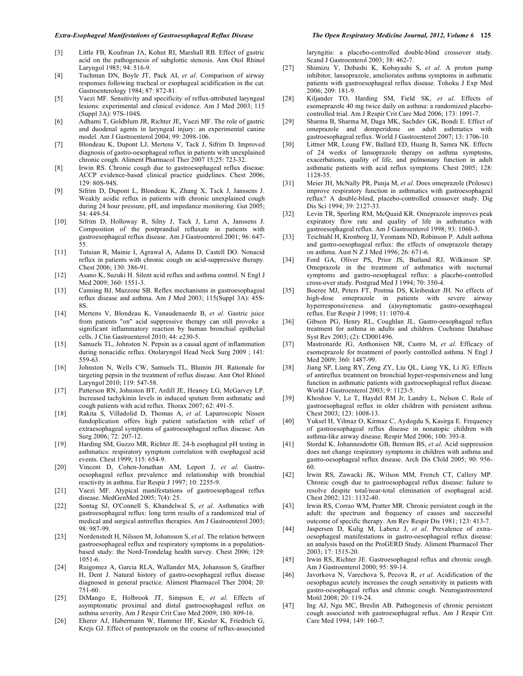#### *Extra-Esophageal Manifestations of Gastroesophageal Reflux Disease The Open Respiratory Medicine Journal, 2012, Volume 6* **125**

- [3] Little FB, Koufman JA, Kohut RI, Marshall RB. Effect of gastric acid on the pathogenesis of subglottic stenosis. Ann Otol Rhinol Laryngol 1985; 94: 516-9.
- [4] Tuchman DN, Boyle JT, Pack AI, *et al*. Comparison of airway responses following tracheal or esophageal acidification in the cat. Gastroenterology 1984; 87: 872-81.
- [5] Vaezi MF. Sensitivity and specificity of reflux-attributed laryngeal lesions: experimental and clinical evidence. Am J Med 2003; 115 (Suppl 3A): 97S-104S.
- [6] Adhami T, Goldblum JR, Richter JE, Vaezi MF. The role of gastric and duodenal agents in laryngeal injury: an experimental canine model. Am J Gastroenterol 2004; 99: 2098-106.
- [7] Blondeau K, Dupont LJ, Mertens V, Tack J, Sifrim D. Improved diagnosis of gastro-oesophageal reflux in patients with unexplained chronic cough. Aliment Pharmacol Ther 2007 15;25: 723-32.
- [8] Irwin RS. Chronic cough due to gastroesophageal reflux disease: ACCP evidence-based clinical practice guidelines. Chest 2006; 129: 80S-94S.
- [9] Sifrim D, Dupont L, Blondeau K, Zhang X, Tack J, Janssens J. Weakly acidic reflux in patients with chronic unexplained cough during 24 hour pressure, pH, and impedance monitoring. Gut 2005; 54: 449-54.
- [10] Sifrim D, Holloway R, Silny J, Tack J, Lerut A, Janssens J. Composition of the postprandial refluxate in patients with gastroesophageal reflux disease. Am J Gastroenterol 2001; 96: 647- 55.
- [11] Tutuian R, Mainie I, Agrawal A, Adams D, Castell DO. Nonacid reflux in patients with chronic cough on acid-suppressive therapy. Chest 2006; 130: 386-91.
- [12] Asano K, Suzuki H. Silent acid reflux and asthma control. N Engl J Med 2009; 360: 1551-3.
- [13] Canning BJ, Mazzone SB. Reflex mechanisms in gastroesophageal reflux disease and asthma. Am J Med 2003; 115(Suppl 3A): 45S-8S.
- [14] Mertens V, Blondeau K, Vanaudenaerde B, *et al*. Gastric juice from patients "on" acid suppressive therapy can still provoke a significant inflammatory reaction by human bronchial epithelial cells. J Clin Gastroenterol 2010; 44: e230-5.
- [15] Samuels TL, Johnston N. Pepsin as a causal agent of inflammation during nonacidic reflux. Otolaryngol Head Neck Surg 2009 ; 141: 559-63.
- [16] Johnston N, Wells CW, Samuels TL, Blumin JH. Rationale for targeting pepsin in the treatment of reflux disease. Ann Otol Rhinol Laryngol 2010; 119: 547-58.
- [17] Patterson RN, Johnston BT, Ardill JE, Heaney LG, McGarvey LP. Increased tachykinin levels in induced sputum from asthmatic and cough patients with acid reflux. Thorax 2007; 62: 491-5.
- [18] Rakita S, Villadolid D, Thomas A, *et al*. Laparoscopic Nissen fundoplication offers high patient satisfaction with relief of extraesophageal symptoms of gastroesophageal reflux disease. Am Surg 2006; 72: 207-12.
- [19] Harding SM, Guzzo MR, Richter JE. 24-h esophageal pH testing in asthmatics: respiratory symptom correlation with esophageal acid events. Chest 1999; 115: 654-9.
- [20] Vincent D, Cohen-Jonathan AM, Leport J, *et al*. Gastrooesophageal reflux prevalence and relationship with bronchial reactivity in asthma. Eur Respir J 1997; 10: 2255-9.
- [21] Vaezi MF. Atypical manifestations of gastroesophageal reflux disease. MedGenMed 2005; 7(4): 25.
- [22] Sontag SJ, O'Connell S, Khandelwal S, *et al*. Asthmatics with gastroesophageal reflux: long term results of a randomized trial of medical and surgical antireflux therapies. Am J Gastroenterol 2003; 98: 987-99.
- [23] Nordenstedt H, Nilsson M, Johansson S, *et al*. The relation between gastroesophageal reflux and respiratory symptoms in a populationbased study: the Nord-Trondelag health survey. Chest 2006; 129: 1051-6.
- [24] Ruigomez A, Garcia RLA, Wallander MA, Johansson S, Graffner H, Dent J. Natural history of gastro-oesophageal reflux disease diagnosed in general practice. Aliment Pharmacol Ther 2004; 20: 751-60.
- [25] DiMango E, Holbrook JT, Simpson E, *et al*. Effects of asymptomatic proximal and distal gastroesophageal reflux on asthma severity. Am J Respir Crit Care Med 2009; 180: 809-16.
- [26] Eherer AJ, Habermann W, Hammer HF, Kiesler K, Friedrich G, Krejs GJ. Effect of pantoprazole on the course of reflux-associated

laryngitis: a placebo-controlled double-blind crossover study. Scand J Gastroenterol 2003; 38: 462-7.

- [27] Shimizu Y, Dobashi K, Kobayashi S, *et al*. A proton pump inhibitor, lansoprazole, ameliorates asthma symptoms in asthmatic patients with gastroesophageal reflux disease. Tohoku J Exp Med 2006; 209: 181-9.
- [28] Kiljander TO, Harding SM, Field SK, *et al*. Effects of esomeprazole 40 mg twice daily on asthma: a randomized placebocontrolled trial. Am J Respir Crit Care Med 2006; 173: 1091-7.
- [29] Sharma B, Sharma M, Daga MK, Sachdev GK, Bondi E. Effect of omeprazole and domperidone on adult asthmatics with gastroesophageal reflux. World J Gastroenterol 2007; 13: 1706-10.
- [30] Littner MR, Leung FW, Ballard ED, Huang B, Samra NK. Effects of 24 weeks of lansoprazole therapy on asthma symptoms, exacerbations, quality of life, and pulmonary function in adult asthmatic patients with acid reflux symptoms. Chest 2005; 128: 1128-35.
- [31] Meier JH, McNally PR, Punja M, *et al*. Does omeprazole (Prilosec) improve respiratory function in asthmatics with gastroesophageal reflux? A double-blind, placebo-controlled crossover study. Dig Dis Sci 1994; 39: 2127-33.
- [32] Levin TR, Sperling RM, McQuaid KR. Omeprazole improves peak expiratory flow rate and quality of life in asthmatics with gastroesophageal reflux. Am J Gastroenterol 1998; 93: 1060-3.
- [33] Teichtahl H, Kronborg IJ, Yeomans ND, Robinson P. Adult asthma and gastro-oesophageal reflux: the effects of omeprazole therapy on asthma. Aust N Z J Med 1996; 26: 671-6.
- [34] Ford GA, Oliver PS, Prior JS, Butland RJ, Wilkinson SP. Omeprazole in the treatment of asthmatics with nocturnal symptoms and gastro-oesophageal reflux: a placebo-controlled cross-over study. Postgrad Med J 1994; 70: 350-4.
- [35] Boeree MJ, Peters FT, Postma DS, Kleibeuker JH. No effects of high-dose omeprazole in patients with severe airway hyperresponsiveness and (a)symptomatic gastro-oesophageal reflux. Eur Respir J 1998; 11: 1070-4.
- [36] Gibson PG, Henry RL, Coughlan JL. Gastro-oesophageal reflux treatment for asthma in adults and children. Cochrane Database Syst Rev 2003; (2): CD001496.
- [37] Mastronarde JG, Anthonisen NR, Castro M, *et al*. Efficacy of esomeprazole for treatment of poorly controlled asthma. N Engl J Med 2009; 360: 1487-99.
- [38] Jiang SP, Liang RY, Zeng ZY, Liu QL, Liang YK, Li JG. Effects of antireflux treatment on bronchial hyper-responsiveness and lung function in asthmatic patients with gastroesophageal reflux disease. World J Gastroenterol 2003; 9: 1123-5.
- [39] Khoshoo V, Le T, Haydel RM Jr, Landry L, Nelson C. Role of gastroesophageal reflux in older children with persistent asthma. Chest 2003; 123: 1008-13.
- [40] Yuksel H, Yilmaz O, Kirmaz C, Aydogdu S, Kasirga E. Frequency of gastroesophageal reflux disease in nonatopic children with asthma-like airway disease. Respir Med 2006; 100: 393-8.
- [41] Stordal K, Johannesdottir GB, Bentsen BS, *et al*. Acid suppression does not change respiratory symptoms in children with asthma and gastro-oesophageal reflux disease. Arch Dis Child 2005; 90: 956- 60.
- [42] Irwin RS, Zawacki JK, Wilson MM, French CT, Callery MP. Chronic cough due to gastroesophageal reflux disease: failure to resolve despite total/near-total elimination of esophageal acid. Chest 2002; 121: 1132-40.
- [43] Irwin RS, Corrao WM, Pratter MR. Chronic persistent cough in the adult: the spectrum and frequency of causes and successful outcome of specific therapy. Am Rev Respir Dis 1981; 123: 413-7.
- [44] Jaspersen D, Kulig M, Labenz J, *et al*. Prevalence of extraoesophageal manifestations in gastro-oesophageal reflux disease: an analysis based on the ProGERD Study. Aliment Pharmacol Ther 2003; 17: 1515-20.
- [45] Irwin RS, Richter JE. Gastroesophageal reflux and chronic cough. Am J Gastroenterol 2000; 95: S9-14.
- [46] Javorkova N, Varechova S, Pecova R, *et al*. Acidification of the oesophagus acutely increases the cough sensitivity in patients with gastro-oesophageal reflux and chronic cough. Neurogastroenterol Motil 2008; 20: 119-24.
- [47] Ing AJ, Ngu MC, Breslin AB. Pathogenesis of chronic persistent cough associated with gastroesophageal reflux. Am J Respir Crit Care Med 1994; 149: 160-7.